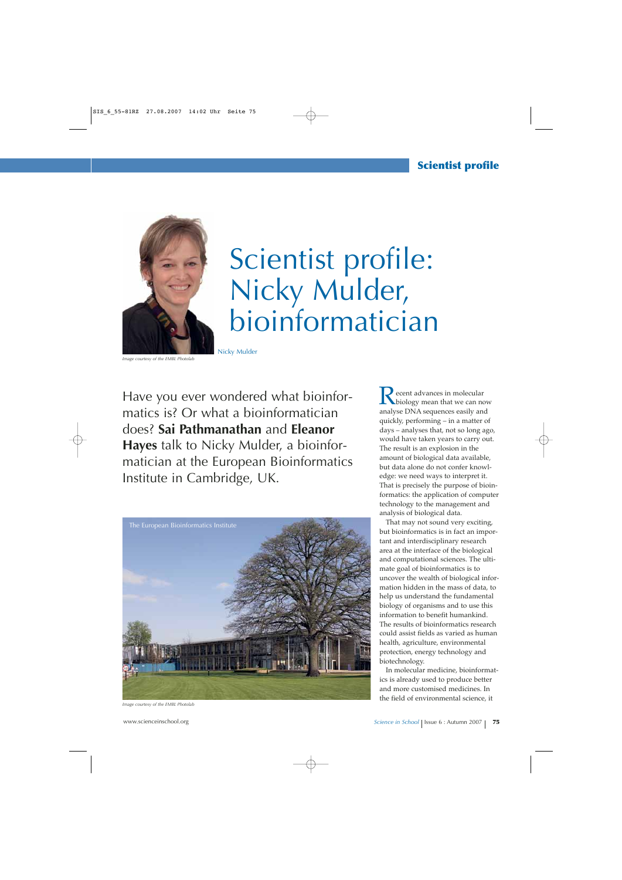

## Scientist profile: Nicky Mulder, bioinformatician

*Image courtesy of the EMBL Photolab*

Have you ever wondered what bioinformatics is? Or what a bioinformatician does? **Sai Pathmanathan** and **Eleanor Hayes** talk to Nicky Mulder, a bioinformatician at the European Bioinformatics Institute in Cambridge, UK.



*Image courtesy of the EMBL Photolab*

 $\blacktriangleright$  ecent advances in molecular biology mean that we can now analyse DNA sequences easily and quickly, performing – in a matter of days – analyses that, not so long ago, would have taken years to carry out. The result is an explosion in the amount of biological data available, but data alone do not confer knowledge: we need ways to interpret it. That is precisely the purpose of bioinformatics: the application of computer technology to the management and analysis of biological data.

That may not sound very exciting, but bioinformatics is in fact an important and interdisciplinary research area at the interface of the biological and computational sciences. The ultimate goal of bioinformatics is to uncover the wealth of biological information hidden in the mass of data, to help us understand the fundamental biology of organisms and to use this information to benefit humankind. The results of bioinformatics research could assist fields as varied as human health, agriculture, environmental protection, energy technology and biotechnology.

In molecular medicine, bioinformatics is already used to produce better and more customised medicines. In the field of environmental science, it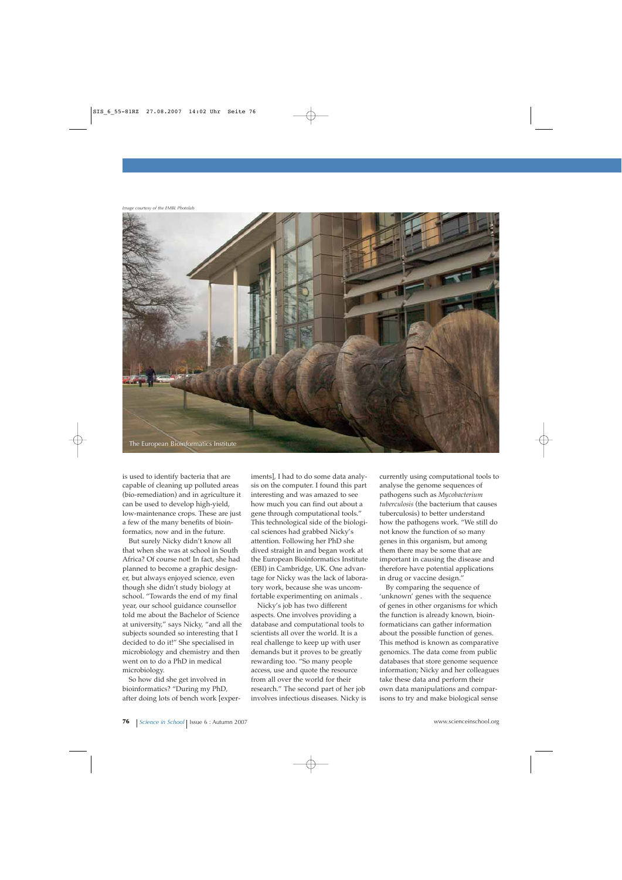*Image courtesy of the EMBL Photolab*



is used to identify bacteria that are capable of cleaning up polluted areas (bio-remediation) and in agriculture it can be used to develop high-yield, low-maintenance crops. These are just a few of the many benefits of bioinformatics, now and in the future.

But surely Nicky didn't know all that when she was at school in South Africa? Of course not! In fact, she had planned to become a graphic designer, but always enjoyed science, even though she didn't study biology at school. "Towards the end of my final year, our school guidance counsellor told me about the Bachelor of Science at university," says Nicky, "and all the subjects sounded so interesting that I decided to do it!" She specialised in microbiology and chemistry and then went on to do a PhD in medical microbiology.

So how did she get involved in bioinformatics? "During my PhD, after doing lots of bench work [experiments], I had to do some data analysis on the computer. I found this part interesting and was amazed to see how much you can find out about a gene through computational tools." This technological side of the biological sciences had grabbed Nicky's attention. Following her PhD she dived straight in and began work at the European Bioinformatics Institute (EBI) in Cambridge, UK. One advantage for Nicky was the lack of laboratory work, because she was uncomfortable experimenting on animals .

Nicky's job has two different aspects. One involves providing a database and computational tools to scientists all over the world. It is a real challenge to keep up with user demands but it proves to be greatly rewarding too. "So many people access, use and quote the resource from all over the world for their research." The second part of her job involves infectious diseases. Nicky is currently using computational tools to analyse the genome sequences of pathogens such as *Mycobacterium tuberculosis* (the bacterium that causes tuberculosis) to better understand how the pathogens work. "We still do not know the function of so many genes in this organism, but among them there may be some that are important in causing the disease and therefore have potential applications in drug or vaccine design."

By comparing the sequence of 'unknown' genes with the sequence of genes in other organisms for which the function is already known, bioinformaticians can gather information about the possible function of genes. This method is known as comparative genomics. The data come from public databases that store genome sequence information; Nicky and her colleagues take these data and perform their own data manipulations and comparisons to try and make biological sense